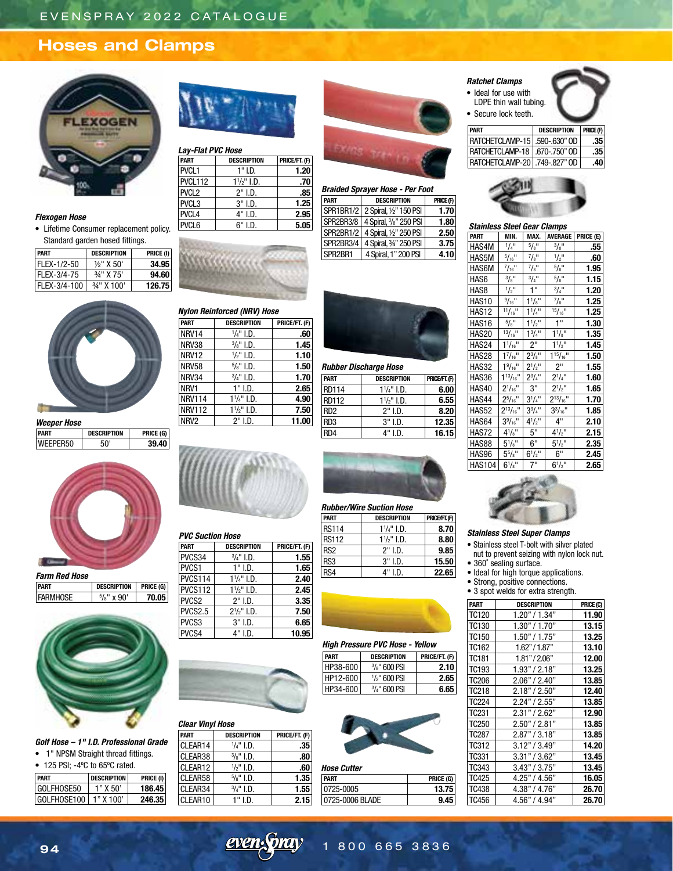# **Hoses and Clamps**



### *Flexogen Hose*

• Lifetime Consumer replacement policy. Standard garden hosed fittings.

| <b>PART</b>  | <b>DESCRIPTION</b> | PRICE (I) |
|--------------|--------------------|-----------|
| FLEX-1/2-50  | $1/2$ " X 50'      | 34.95     |
| FLEX-3/4-75  | 3/4" X 75'         | 94.60     |
| FLEX-3/4-100 | $3/4$ " X 100'     | 126.75    |



## *Weeper Hose*

**PART DESCRIPTION PRICE (G)** |WEEPER50 | 50' | **39.40** 



*Farm Red Hose* **PART DESCRIPTION PRICE (G) FARMHOSE** /8" x 90' **70.05**



*Golf Hose – 1" I.D. Professional Grade*

• 1" NPSM Straight thread fittings. • 125 PSI; -4ºC to 65ºC rated.

| - | $1201$ or, $-40$ to the state of $1400$ . |  |  |                    |    |
|---|-------------------------------------------|--|--|--------------------|----|
|   | DADT                                      |  |  | <b>DECOPIDTION</b> | DD |

| PART         | DESCRIPTION | PRICE (I) |
|--------------|-------------|-----------|
| GOI FHOSE50  | ้า" X 50'   | 186.45    |
| GOI FHOSF100 | 1" X 100'   | 246.35    |



## *Lay-Flat PVC Hose*

*Nylon Reinforced (NRV) Hose*

**NRV14** 

 $N$ RV38

 $N$ RV12

 $N$ RV58

**NRV34** 

**NRV114** 

 $N$ RV112

**PART DESCRIPTION PRICE/FT. (F)**

NRV1 1" I.D. **2.65**

NRV2 2" I.D. **11.00**

 $\frac{1}{4}$ " I.D. 60

/8" I.D. **1.45**

 $\frac{1}{2}$ " I.D. **1.10** 

/8" I.D. **1.50**

 $\frac{3}{4}$ " I.D. **1.70** 

/4" I.D. **4.90**

/2" I.D. **7.50**

| <b>PART</b>       | <b>DESCRIPTION</b>    | PRICE/FT. (F) |
|-------------------|-----------------------|---------------|
| PVCL <sub>1</sub> | $1"$ I.D.             | 1.20          |
| PVCL112           | $1\frac{1}{2}$ " I.D. | .70           |
| PVCL <sub>2</sub> | $2"$ I.D.             | .85           |
| PVCL <sub>3</sub> | $3"$ I.D.             | 1.25          |
| PVCL <sub>4</sub> | 4" I.D.               | 2.95          |
| PVCL6             | 6" I.D.               | 5.05          |



## *Braided Sprayer Hose - Per Foot* **PART DESCRIPTION PRICE (F)** SPR1BR1/2 2 Spiral, ½" 150 PSI **1.70** SPR2BR3/8 /8" 250 PSI **1.80** SPR2BR1/2 4 Spiral, ½" 250 PSI **2.50** SPR2BR3/4 4 Spiral, ¾" 250 PSI **3.75** SPR2BR1 4 Spiral, 1" 200 PSI **4.10**



## *Rubber Discharge Hose*

| <b>PART</b>     | <b>DESCRIPTION</b>    | PRICE/FT. (F) |
|-----------------|-----------------------|---------------|
| <b>RD114</b>    | $1\frac{1}{4}$ " I.D. | 6.00          |
| <b>RD112</b>    | $1\frac{1}{2}$ " I.D. | 6.55          |
| RD <sub>2</sub> | 2" LD.                | 8.20          |
| RD <sub>3</sub> | $3"$ I.D.             | 12.35         |
| RD4             | 4" I.D.               | 16.15         |



|         | <b>HAS10</b> | $9/16$ <sup>11</sup>  | $1^{1}/8$ " | $^{7}/\mathsf{a}^{11}$ | 1.25 |
|---------|--------------|-----------------------|-------------|------------------------|------|
|         | <b>HAS12</b> | $11/16$ <sup>11</sup> | $1^{1}/4"$  | $15/16$ <sup>11</sup>  | 1.25 |
|         | <b>HAS16</b> | 5/8"                  | $1^{1}/2$ " | 1 <sup>n</sup>         | 1.30 |
|         | <b>HAS20</b> | $13/16$ <sup>11</sup> | $1^{3}/4$ " | $1^{1}/8$ "            | 1.35 |
|         | HAS24        | $1^{1}/_{16}$ "       | 2"          | $1^{1}/2$ "            | 1.45 |
|         | <b>HAS28</b> | $1^{7}/_{16}$ "       | $2^{3}/8$ " | $1^{15}/_{16}$ "       | 1.50 |
|         | HAS32        | $1\frac{9}{16}$ "     | $2^{1/2}$ " | 2"                     | 1.55 |
| /FT.(F) | HAS36        | $1^{13}/_{16}$ "      | $2^{3}/4"$  | $2^{1}/4$ "            | 1.60 |
| 6.00    | HAS40        | $2^{1}/_{16}$ "       | 3"          | $2^{1/2}$              | 1.65 |
| 6.55    | HAS44        | $2^{5}/_{16}$ "       | $3^{1}/4$ " | $2^{13}/_{16}$ "       | 1.70 |
| 8.20    | HAS52        | $2^{13}/_{16}$ "      | $3^{3}/4"$  | $3^{3}/_{16}$ "        | 1.85 |
| 2.35    | HAS64        | $3\frac{9}{16}$ "     | $4^{1/2}$   | 4"                     | 2.10 |
| 6.15    | HAS72        | $4^{1}/8$ "           | 5"          | $4^{1/2}$              | 2.15 |
|         | <b>HAS88</b> | $5^{1}/s$ "           | 6"          | $5^{1}/2$ "            | 2.35 |
|         | HAS96        | $5\frac{5}{8}$ "      | $6^{1/2}$ " | 6"                     | 2.45 |

HAS104 6<sup>1</sup>/s"



## *PVC Suction Hose*

| <b>DESCRIPTION</b>   | PRICE/FT. (F) |
|----------------------|---------------|
| $\frac{3}{4}$ " I.D. | 1.55          |
| $1"$ I.D.            | 1.65          |
| $1^{1}/4$ " I.D.     | 2.40          |
| $1\frac{1}{2}$ I.D.  | 2.45          |
| $2"$ I.D.            | 3.35          |
| $2^{1}/2$ " I.D.     | 7.50          |
| $3"$ I.D.            | 6.65          |
| 4" I.D.              | 10.95         |
|                      |               |



## *Clear Vinyl Hose*

| PART    | <b>DESCRIPTION</b>   | PRICE/FT. (F) |
|---------|----------------------|---------------|
| CLEAR14 | $\frac{1}{4}$ " I.D. | .35           |
| CLEAR38 | $\frac{3}{8}$ " I.D. | .80           |
| CLEAR12 | $\frac{1}{2}$ " I.D. | .60           |
| CLEAR58 | $\frac{5}{8}$ " I.D. | 1.35          |
| CLEAR34 | $\frac{3}{4}$ " I.D. | 1.55          |
| CLEAR10 | $1"$ I.D.            | 2.15          |
|         |                      |               |



## *Rubber/Wire Suction Hose*

| <b>PART</b>     | <b>DESCRIPTION</b>    | PRICE/FT. (F) |
|-----------------|-----------------------|---------------|
| <b>RS114</b>    | $1\frac{1}{4}$ " I.D. | 8.70          |
| <b>RS112</b>    | $1\frac{1}{2}$ I.D.   | 8.80          |
| RS <sub>2</sub> | $2"$ I.D.             | 9.85          |
| RS <sub>3</sub> | $3"$ I.D.             | 15.50         |
| RS4             | 4" I.D.               | 22.65         |



## *High Pressure PVC Hose - Yellow* **PART DESCRIPTION PRICE/FT. (F)**

| HP38-600 | $\frac{3}{8}$ " 600 PSI   | 2.10  |
|----------|---------------------------|-------|
| HP12-600 | 1/ <sub>2</sub> " 600 PSI | 2.651 |
| HP34-600 | 3/4" 600 PSI              | 6.651 |



| <b>Hose Cutter</b> |           |
|--------------------|-----------|
| <b>PART</b>        | PRICE (G) |
| 10725-0005         | 13.75     |
| 0725-0006 BLADE    | 9.45      |
|                    |           |

 $7"$  6<sup>1</sup>/<sub>2</sub>"

**PART DESCRIPTION PRICE (F)** RATCHETCLAMP-15 .590-.630" OD **.35** RATCHETCLAMP-18 .670-.750" OD **.35** RATCHETCLAMP-20 .749-.827" OD **.40**

*Stainless Steel Gear Clamps* **PART** | MIN. | MAX. | AVERAGE | PRICE (E)

 $5/8"$   $3/8"$ 

 $\frac{7/8}{}$  1/2"<br> $\frac{7}{8}$   $\frac{1}{8}$  5/8"

 $3/4"$   $5/8"$ 

 $1"$   $3/4"$ 

 $\frac{7}{8}$ "

/8" **.55**

/2" **.60**

/8" **1.95**

/8" **1.15**

/4" **1.20**

/2" **2.65** 

 $1/4"$ 

 $5/16"$ 

 $\frac{7}{16}$ "

 $3/8"$ 

HAS4M <sup>1</sup>

*Ratchet Clamps* • Ideal for use with LDPE thin wall tubing. • Secure lock teeth.

 $HAS5M$ 

## *Stainless Steel Super Clamps*

• Stainless steel T-bolt with silver plated nut to prevent seizing with nylon lock nut.

- 360° sealing surface.
- Ideal for high torque applications.

• Strong, positive connections.

• 3 spot welds for extra strength.

| <b>PART</b>       | <b>DESCRIPTION</b> | PRICE (C) |
|-------------------|--------------------|-----------|
| <b>TC120</b>      | 1.20" / 1.34"      | 11.90     |
| TC130             | 1.30" / 1.70"      | 13.15     |
| TC150             | 1.50" / 1.75"      | 13.25     |
| TC162             | 1.62" / 1.87"      | 13.10     |
| TC181             | 1.81" / 2.06"      | 12.00     |
| TC193             | 1.93" / 2.18"      | 13.25     |
| <b>TC206</b>      | 2.06" / 2.40"      | 13.85     |
| TC218             | 2.18" / 2.50"      | 12.40     |
| TC224             | 2.24" / 2.55"      | 13.85     |
| TC231             | 2.31" / 2.62"      | 12.90     |
| TC <sub>250</sub> | 2.50" / 2.81"      | 13.85     |
| TC287             | 2.87" / 3.18"      | 13.85     |
| TC312             | 3.12" / 3.49"      | 14.20     |
| TC331             | 3.31" / 3.62"      | 13.45     |
| TC343             | 3.43" / 3.75"      | 13.45     |
| TC425             | 4.25" / 4.56"      | 16.05     |
| TC438             | 4.38" / 4.76"      | 26.70     |
| TC456             | 4.56" / 4.94"      | 26.70     |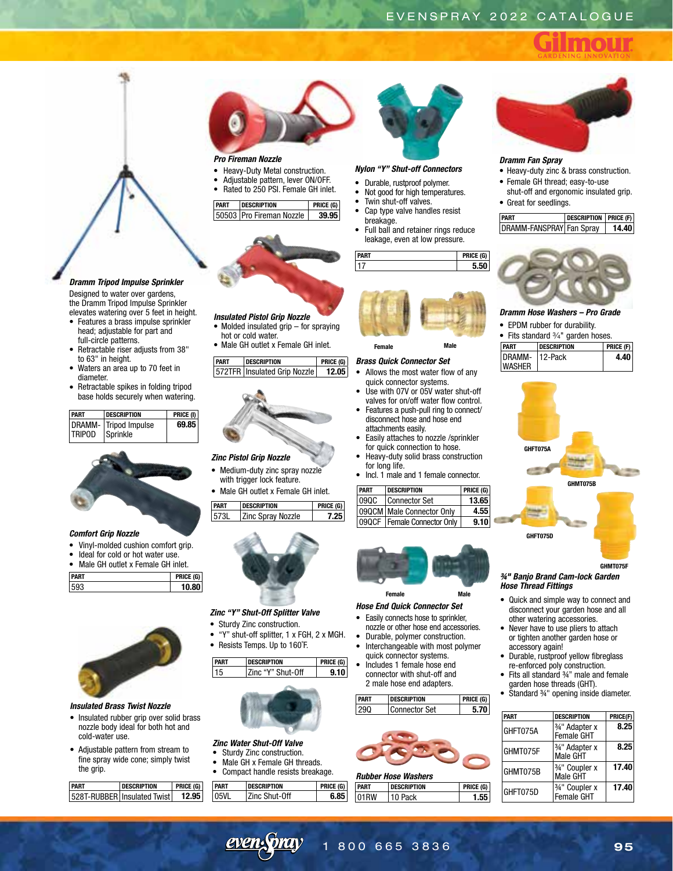

## *Dramm Tripod Impulse Sprinkler*

Designed to water over gardens. the Dramm Tripod Impulse Sprinkler elevates watering over 5 feet in height.

- Features a brass impulse sprinkler head; adjustable for part and full-circle patterns.
- Retractable riser adjusts from 38" to 63" in height.
- Waters an area up to 70 feet in diameter.
- Retractable spikes in folding tripod base holds securely when watering.

| <b>PART</b>   | <b>DESCRIPTION</b>    | PRICE (I) |
|---------------|-----------------------|-----------|
|               | DRAMM- Tripod Impulse | 69.85     |
| <b>TRIPOD</b> | Sprinkle              |           |



## *Comfort Grip Nozzle*

- Vinyl-molded cushion comfort grip.
- Ideal for cold or hot water use.
- Male GH outlet x Female GH inlet.

| <b>PART</b> | m<br>۲ĸ |
|-------------|---------|
| ∼u∹<br>ר    |         |



## *Insulated Brass Twist Nozzle*

- Insulated rubber grip over solid brass nozzle body ideal for both hot and cold-water use.
- Adjustable pattern from stream to fine spray wide cone; simply twist the grip.

| SCRIPTION                   |  |
|-----------------------------|--|
| 528T-RUBBER Insulated Twist |  |



## *Pro Fireman Nozzle*

- Heavy-Duty Metal construction.
- Adjustable pattern, lever ON/OFF. • Rated to 250 PSI. Female GH inlet.
- 

**PART DESCRIPTION PRICE (G)** 50503 Pro Fireman Nozzle **39.95**



## *Insulated Pistol Grip Nozzle*

- Molded insulated grip for spraying
- hot or cold water.
- Male GH outlet x Female GH inlet.

| <b>PART</b> | <b>DESCRIPTION</b>             | PRICE (G) |
|-------------|--------------------------------|-----------|
|             | 572TFR   Insulated Grip Nozzle | 12.05     |



## *Zinc Pistol Grip Nozzle*

- Medium-duty zinc spray nozzle
- with trigger lock feature. • Male GH outlet x Female GH inlet.
- 

| I PART | <b>DESCRIPTION</b>       | PRICE (G) |  |
|--------|--------------------------|-----------|--|
| 15731  | <b>Zinc Spray Nozzle</b> |           |  |
|        |                          |           |  |



## *Zinc "Y" Shut-Off Splitter Valve*

- Sturdy Zinc construction.
- "Y" shut-off splitter, 1 x FGH, 2 x MGH.
- Resists Temps. Up to 160˚F.





## *Zinc Water Shut-Off Valve*

- Sturdy Zinc construction. Male GH x Female GH threads.
- 

|      | Compact handle resists breakage. |                    |                  |  |
|------|----------------------------------|--------------------|------------------|--|
| PART |                                  | <b>DESCRIPTION</b> | <b>PRICE (G)</b> |  |
|      | 05VL                             | Zinc Shut-Off      | 6.85             |  |



## *Nylon "Y" Shut-off Connectors*

- Durable, rustproof polymer.
- Not good for high temperatures.
- Twin shut-off valves.
- Cap type valve handles resist breakage.
- Full ball and retainer rings reduce leakage, even at low pressure.





## **Female Male**

## *Brass Quick Connector Set*

- Allows the most water flow of any quick connector systems.
- Use with 07V or 05V water shut-off valves for on/off water flow control. • Features a push-pull ring to connect/
- disconnect hose and hose end attachments easily.
- Easily attaches to nozzle /sprinkler for quick connection to hose.
- Heavy-duty solid brass construction for long life.
- Incl. 1 male and 1 female connector.

| <b>PART</b> | <b>DESCRIPTION</b>            | PRICE $(G)$ |  |
|-------------|-------------------------------|-------------|--|
| 090C        | Connector Set                 | 13.65       |  |
|             | 09QCM   Male Connector Only   | 4.55        |  |
|             | 09QCF   Female Connector Only | 9.10        |  |



## *Hose End Quick Connector Set*

- Easily connects hose to sprinkler, nozzle or other hose end accessories.
- Durable, polymer construction. • Interchangeable with most polymer
- quick connector systems. • Includes 1 female hose end
- connector with shut-off and 2 male hose end adapters.





## *Rubber Hose Washers*

| PART | DESCRIPTION | PRICE (G) |
|------|-------------|-----------|
| 01RW | 10 Pack     |           |



## *Dramm Fan Spray*

- Heavy-duty zinc & brass construction. • Female GH thread; easy-to-use
- shut-off and ergonomic insulated grip. • Great for seedlings.

| <b>PART</b>              | <b>DESCRIPTION   PRICE (F)</b> |       |
|--------------------------|--------------------------------|-------|
| DRAMM-FANSPRAY Fan Spray |                                | 14.40 |



## *Dramm Hose Washers – Pro Grade*

• EPDM rubber for durability.

| • Fits standard $\frac{3}{4}$ " garden hoses. |  |             |  |
|-----------------------------------------------|--|-------------|--|
| PART<br><b>DESCRIPTION</b>                    |  | PRICE $(F)$ |  |
| DRAMM- 12-Pack                                |  | 4.40        |  |
| <b>WASHER</b>                                 |  |             |  |



#### *¾" Banjo Brand Cam-lock Garden Hose Thread Fittings* **GHMT075F**

- Quick and simple way to connect and disconnect your garden hose and all other watering accessories.
- Never have to use pliers to attach or tighten another garden hose or accessory again!
- Durable, rustproof yellow fibreglass re-enforced poly construction.
- Fits all standard ¾" male and female garden hose threads (GHT).
- Standard ¾" opening inside diameter.

| <b>PART</b> | <b>DESCRIPTION</b>           | PRICE(F) |
|-------------|------------------------------|----------|
| GHFT075A    | 3/4" Adapter x<br>Female GHT | 8.25     |
| GHMT075F    | 3/4" Adapter x<br>Male GHT   | 8.25     |
| GHMT075B    | 3/4" Coupler x<br>Male GHT   | 17.40    |
| GHFT075D    | 3/4" Coupler x<br>Female GHT | 17.40    |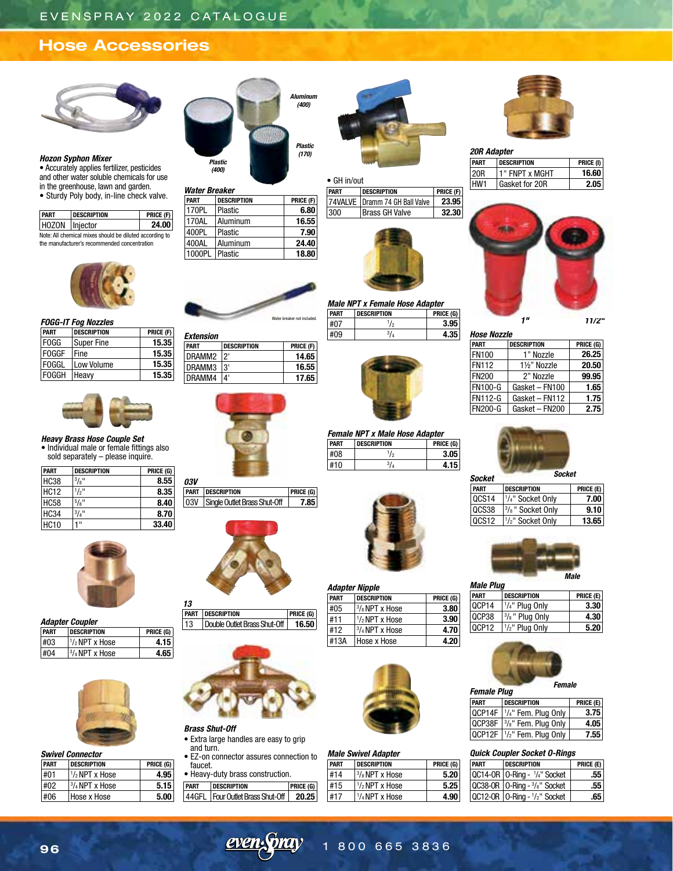# **Hose Accessories**



## *Hozon Syphon Mixer*

• Accurately applies fertilizer, pesticides and other water soluble chemicals for use in the greenhouse, lawn and garden. • Sturdy Poly body, in-line check valve.

| <b>PART</b>    | <b>DESCRIPTION</b>                                      | PRICE (F) |
|----------------|---------------------------------------------------------|-----------|
| HOZON Injector |                                                         | 24.00     |
|                | Note: All chemical mixes should be diluted according to |           |

Note: All chemical mixes should be diluted according to the manufacturer's recommended concentration



*FOGG-IT Fog Nozzles*

| PART         | <b>DESCRIPTION</b> | PRICE (F) |
|--------------|--------------------|-----------|
| <b>FOGG</b>  | Super Fine         | 15.35     |
| <b>FOGGF</b> | l Fine             | 15.35     |
| <b>FOGGL</b> | Low Volume         | 15.35     |
| <b>FOGGH</b> | <b>Heavy</b>       | 15.35     |



*Heavy Brass Hose Couple Set* • Individual male or female fittings also sold separately – please inquire.

| <b>PART</b> | <b>DESCRIPTION</b> | PRICE (G) |
|-------------|--------------------|-----------|
| <b>HC38</b> | 3/8"               | 8.55      |
| <b>HC12</b> | $1/2$ "            | 8.35      |
| <b>HC58</b> | 5/8"               | 8.40      |
| <b>HC34</b> | $^{3}/_{4}$ "      | 8.70      |
| <b>HC10</b> | $\mathbf{H}$       | 33.40     |



|             | <b>Adapter Coupler</b> |           |
|-------------|------------------------|-----------|
| <b>PART</b> | <b>DESCRIPTION</b>     | PRICE (G) |
| #03         | $1/2$ NPT x Hose       | 4.15      |
| #04         | $3/4$ NPT x Hose       | 4.65      |



#### *Swivel Connector*

| PART | <b>DESCRIPTION</b>       | PRICE (G) |
|------|--------------------------|-----------|
| #01  | $1/2$ NPT x Hose         | 4.95      |
| #02  | $\frac{3}{4}$ NPT x Hose | 5.15      |
| #06  | Hose x Hose              | 5.00      |



| Water Breaker |                    |           |
|---------------|--------------------|-----------|
| <b>PART</b>   | <b>DESCRIPTION</b> | PRICE (F) |
| 170PL         | Plastic            | 6.80      |
| 170AL         | Aluminum           | 16.55     |
| 400PL         | Plastic            | 7.90      |
| 400AL         | Aluminum           | 24.40     |
| 1000PL        | Plastic            | 18.80     |

DESCRIPTION PRICE (F) DRAMM2 2' **14.65** DRAMM3 3' **16.55**

**PART DESCRIPTION PRICE (G)** 03V Single Outlet Brass Shut-Off **7.85**

**PART DESCRIPTION PRICE (G)** 13 Double Outlet Brass Shut-Off **16.50**

*Extension* 

**DRAMM4** 4'

*03V*

*13*

*Brass Shut-Off*

and turn.

faucet.

• Extra large handles are easy to grip

• Heavy-duty brass construction. **PART DESCRIPTION PRICE (G)** 44GFL Four Outlet Brass Shut-Off **20.25**

• EZ-on connector assures connection to



## • GH in/out

*Plastic (170)*

*Aluminum (400)*

| <b>PART</b> | <b>DESCRIPTION</b>               | PRICE (F) |
|-------------|----------------------------------|-----------|
|             | 74VALVE   Dramm 74 GH Ball Valve | 23.951    |
| 300         | <b>Brass GH Valve</b>            | 32.301    |



*Male NPT x Female Hose Adapter* **PESCRIPTION**  $\frac{407}{409}$   $\frac{1/2}{3/4}$ /2 **3.95** #09 <sup>3</sup> /4 **4.35** Water breaker not included.  $\frac{1}{\pm 0.7}$   $\frac{1}{\sqrt{2}}$   $\frac{1}{\sqrt{2}}$   $\frac{3.95}{\pm 0.7}$   $\frac{1}{\sqrt{2}}$ 



## *Female NPT x Male Hose Adapter* **PARTIC DESCRIPTION** #08 <sup>1</sup>

| . | ווטוו ווווטכבים ו | 1110L (u) |
|---|-------------------|-----------|
|   |                   | 5         |
|   |                   |           |
|   |                   |           |







## *Male Swivel Adapter*

| PART | <b>DESCRIPTION</b> | PRICE (G) |
|------|--------------------|-----------|
| #14  | $3/8$ NPT x Hose   | 5.20      |
| #15  | $1/2$ NPT x Hose   | 5.25      |
| #17  | $1/4$ NPT x Hose   | 4.90      |



*20R Adapter* **PART DESCRIPTION PRICE (I)** 20R 1" FNPT x MGHT **16.60** HW1 Gasket for 20R **2.05**



| <b>Hose Nozzle</b> |                    |           |
|--------------------|--------------------|-----------|
| <b>PART</b>        | <b>DESCRIPTION</b> | PRICE (G) |
| <b>FN100</b>       | 1" Nozzle          | 26.25     |
| <b>FN112</b>       | 1½" Nozzle         | 20.50     |
| <b>FN200</b>       | 2" Nozzle          | 99.95     |
| <b>FN100-G</b>     | Gasket - FN100     | 1.65      |
| <b>FN112-G</b>     | Gasket - FN112     | 1.75      |
| <b>FN200-G</b>     | Gasket - FN200     | 2.75      |
|                    |                    |           |



| JUCKEL      |                                           |           |
|-------------|-------------------------------------------|-----------|
| <b>PART</b> | <b>DESCRIPTION</b>                        | PRICE (E) |
| l0CS14      | <sup>1</sup> / <sub>4</sub> " Socket Only | 7.00      |
| lQCS38      | $3/8$ " Socket Only                       | 9.10      |
| l0CS12      | <sup>1</sup> / <sub>2</sub> " Socket Only | 13.65     |



# *Male Plug*

| PRICE (E) | <b>I DESCRIPTION</b>      | I PART |
|-----------|---------------------------|--------|
| 3.30      | $ 1/4$ " Plug Only        | QCP14  |
| 4.30      | $\sqrt{3}/_8$ " Plug Only | QCP38  |
| 5.20      | $1/2$ " Plug Only         |        |
|           |                           | QCP12  |



| <b>PART</b> | <b>DESCRIPTION</b>           | PRICE $(E)$ |
|-------------|------------------------------|-------------|
|             | QCP14F   1/4" Fem. Plug Only | 3.75        |
|             | QCP38F   3/8" Fem. Plug Only | 4.05        |
|             | QCP12F 1/2" Fem. Plug Only   | 7.55        |

## *Quick Coupler Socket O-Rings*

| <b>PART</b> | <b>DESCRIPTION</b>                          | PRICE (E) |
|-------------|---------------------------------------------|-----------|
|             | QC14-OR   O-Ring - 1/4" Socket              | .55       |
|             | $QC38-OR$   0-Ring - $\frac{3}{8}$ " Socket | .55       |
|             | QC12-OR   O-Ring - 1/2" Socket              | .65       |